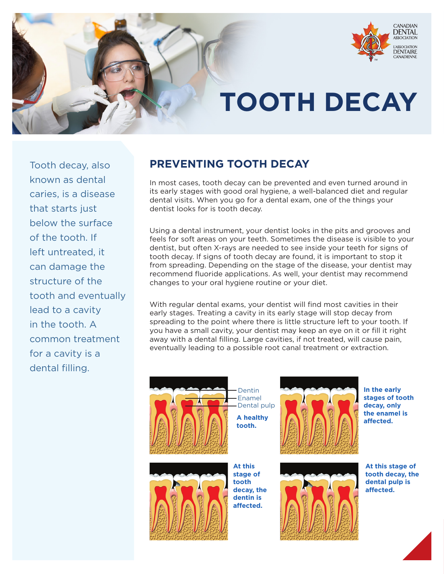

## **TOOTH DECAY**

Tooth decay, also known as dental caries, is a disease that starts just below the surface of the tooth. If left untreated, it can damage the structure of the tooth and eventually lead to a cavity in the tooth. A common treatment for a cavity is a dental filling.

## **PREVENTING TOOTH DECAY**

In most cases, tooth decay can be prevented and even turned around in its early stages with good oral hygiene, a well-balanced diet and regular dental visits. When you go for a dental exam, one of the things your dentist looks for is tooth decay.

Using a dental instrument, your dentist looks in the pits and grooves and feels for soft areas on your teeth. Sometimes the disease is visible to your dentist, but often X-rays are needed to see inside your teeth for signs of tooth decay. If signs of tooth decay are found, it is important to stop it from spreading. Depending on the stage of the disease, your dentist may recommend fluoride applications. As well, your dentist may recommend changes to your oral hygiene routine or your diet.

With regular dental exams, your dentist will find most cavities in their early stages. Treating a cavity in its early stage will stop decay from spreading to the point where there is little structure left to your tooth. If you have a small cavity, your dentist may keep an eye on it or fill it right away with a dental filling. Large cavities, if not treated, will cause pain, eventually leading to a possible root canal treatment or extraction.





Enamel Dental pulp **A healthy tooth.**

Dentin





**In the early stages of tooth decay, only the enamel is affected.**



**At this stage of tooth decay, the dental pulp is** 

**affected.**